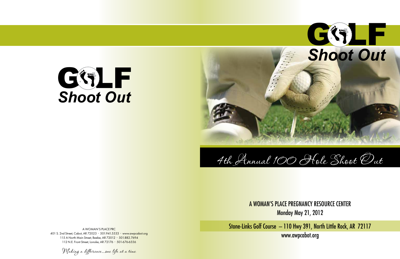

# G G LF *Shoot Out*

A WOMAN'S PLACE PRC 401 S. 2nd Street, Cabot, AR 72023 • 501.941.5533 • www.awpcabot.org 115 A North Main Street, Beebe, AR 72012 • 501.882.7694 112 N.E. Front Street, Lonoke, AR 72176 • 501-676-6556



Making a difference...one life at a time

# A WOMAN'S PLACE PREGNANCY RESOURCE CENTER Monday May 21, 2012

Stone-Links Golf Course – 110 Hwy 391, North Little Rock, AR 72117 www.awpcabot.org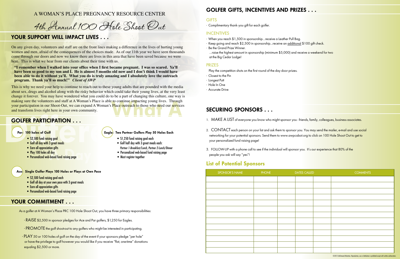• Complimentary thank-you gift for each golfer.

- $\frac{1}{18}$  INCENTIVES<br>• When you reach \$1,500 in sponsorship…receive a Leather Pull Bag.
- $\cdot$  Keep going and reach \$2,500 in sponsorship... receive an additional \$100 gift check.
- Be the Grand Prize Winner.
- …raise the highest amount in sponsorship (minimum \$5,000) and receive a weekend for two at the Big Cedar Lodge!

PRIZES<br>Play the competition shots on the first round of the day door prizes.

- Closest to the Pin
- Longest Putt
- Hole In One
- Accurate Drive

- RAISE \$2,500 in sponsor pledges for Ace and Par golfers, \$1,250 for Eagles.
- PROMOTE the golf shoot-out to any golfers who might be interested in participating.
- PLAY 50 or 100 holes of golf on the day of the event if your sponsors pledge "per hole" or have the privilege to golf however you would like if you receive "flat, one-time" donations equaling \$2,500 or more.

### Eagle: Two Partner Golfers Play 50 Holes Each

- \$1,250 fund raising goal each
- Golf half day with 3 great meals each:  *Partner 1-Breakfast/Lunch, Partner 2-Lunch/Dinner*
- A day a contract of the contract of the contract of the contract of the contract of the contract of the contract of the contract of the contract of the contract of the contract of the contract of the contract of the contra • Personalized web-based fund raising page
	- Must register together

As a golfer at A Woman's Place PRC 100 Hole Shoot Out, you have three primary responsibilities:

- 1. MAKE A LIST of everyone you know who might sponsor you friends, family, colleggues, business associates.
- 2. CONTACT each person on your list and ask them to sponsor you. You may send the mailer, e-mail and use social networking for your potential sponsors. Send them to www.awpcabot.org to click on 100 Hole Shoot Out to get to your personalized fund raising page!
- 3. FOLLOW-UP with a phone call to see if the individual will sponsor you. It's our experience that 80% of the people you ask will say "yes"!
- \$2,500 fund raising goal
- Golf all day with 3 great meals
- Earn all appreciation gifts
- Play 100 holes all day
- Personalized web-based fund raising page

- \$2,500 fund raising goal each
- Golf all day at your own pace with 3 great meals
- Earn all appreciation gifts
- Personalized web-based fund raising page

### YOUR COMMITMENT . . .

# SECURING SPONSORS . . .

# GOLFER GIFTS, INCENTIVES AND PRIZES . . .

### **GIFTS**

4th Annual 100 Hole Shoot Out

### YOUR SUPPORT WILL IMPACT LIVES . .

# List of Potential Sponsors

©2012 LifeSteward Ministries. Reproduction, use or distribution is prohibited except with written authorization.

| SPONSOR'S NAME | <b>PHONE</b> | <b>DATES CALLED</b> |  | <b>COMMENTS</b> |  |
|----------------|--------------|---------------------|--|-----------------|--|
|                |              |                     |  |                 |  |
|                |              |                     |  |                 |  |
|                |              |                     |  |                 |  |
|                |              |                     |  |                 |  |
|                |              |                     |  |                 |  |
|                |              |                     |  |                 |  |
|                |              |                     |  |                 |  |
|                |              |                     |  |                 |  |
|                |              |                     |  |                 |  |
|                |              |                     |  |                 |  |
|                |              |                     |  |                 |  |
|                |              |                     |  |                 |  |
|                |              |                     |  |                 |  |

### A WOMAN'S PLACE PREGNANCY RESOURCE CENTER

# GOLFER PARTICIPATION . . .

### Par: 100 holes of Golf

What a protection in our Shoot-Out, we can expand A Woman's Place outreach to those who need our service<br>and transform lives right here in your own community.<br>
COLFER PARTICIPATION . . .<br>
Par: 100 holes of Golf<br>
• S2,500 f This is why we need your help to continue to reach out to these young adults that are pounded with the media about sex, drugs and alcohol along with the risky behavior which could take their young lives, at the very least change it forever. You may have wondered what you could do to be a part of changing this culture, one way is making sure the volunteers and staff at A Woman's Place is able to continue impacting young lives. Through your participation in our Shoot-Out, we can expand A Woman's Place outreach to those who need our services and transform lives right here in your own community.

### Ace: Single Golfer Plays 100 Holes or Plays at Own Pace

On any given day, volunteers and staff are on the front lines making a difference in the lives of hurting young women and men, afraid of the consequences of the choices made. As of our 11th year we have seen thousands come through our doors and now we know there are lives in this area that have been saved because we were here. This is what we hear from our clients about their time with us.

**"I remember when I walked into your office when I first became pregnant. I was so scared. Ya'll have been so good to my son and I. He is almost 5 months old now and I don't think I would have been able to do it without ya'll. What you do is truly amazing and I absolutely love the outreach program. Thank ya'll so much!"** *Client of AWP*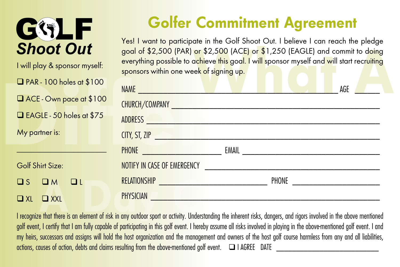

I will play & sponsor myself:  $\Box$  PAR - 100 holes at \$100 ACE - Own pace at \$100  $\Box$  EAGLE - 50 holes at \$75

 $\Box$  XI  $\Box$  XXI

# Golfer Commitment Agreement

Yes! I want to participate in the Golf Shoot Out. I believe I can reach the pledge goal of \$2,500 (PAR) or \$2,500 (ACE) or \$1,250 (EAGLE) and commit to doing everything possible to achieve this goal. I will sponsor myself and will start recruiting sponsors within one week of signing up.

| $\Box$ PAR - 100 holes at \$100 | NAME <b>And the contract of the contract of the contract of the contract of the contract of the contract of the contract of the contract of the contract of the contract of the contract of the contract of the contract of the </b> |                                      | AGE |
|---------------------------------|--------------------------------------------------------------------------------------------------------------------------------------------------------------------------------------------------------------------------------------|--------------------------------------|-----|
| ACE - Own pace at \$100         |                                                                                                                                                                                                                                      |                                      |     |
| EAGLE - 50 holes at \$75        | ADDRESS <b>ADDRESS</b>                                                                                                                                                                                                               |                                      |     |
| My partner is:                  |                                                                                                                                                                                                                                      |                                      |     |
|                                 |                                                                                                                                                                                                                                      |                                      |     |
| Golf Shirt Size:                | NOTIFY IN CASE OF EMERGENCY <b>Example 2008</b>                                                                                                                                                                                      |                                      |     |
| $DS$ $DM$ $DL$                  | RELATIONSHIP Procession and the contract of the contract of the contract of the contract of the contract of the                                                                                                                      | PHONE ______________________________ |     |
| $\neg$ xi $\neg$ xxi            | PHYSICIAN                                                                                                                                                                                                                            |                                      |     |

I recognize that there is an element of risk in any outdoor sport or activity. Understanding the inherent risks, dangers, and rigors involved in the above mentioned golf event, I certify that I am fully capable of participating in this golf event. I hereby assume all risks involved in playing in the above-mentioned golf event. I and my heirs, successors and assigns will hold the host organization and the management and owners of the host golf course harmless from any and all liabilities,  $\alpha$  actions, causes of action, debts and claims resulting from the above-mentioned golf event.  $\square$  I AGREE DATE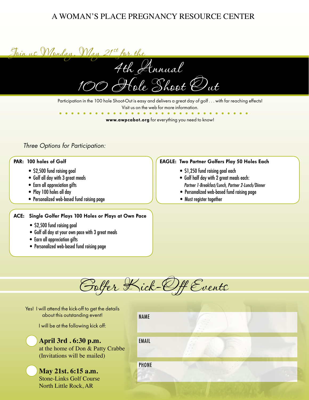### A WOMAN'S PLACE PREGNANCY RESOURCE CENTER



Participation in the 100 hole Shoot-Out is easy and delivers a great day of golf . . . with far reaching effects! Visit us on the web for more information.

www.awpcabot.org for everything you need to know!

### *Three Options for Participation:*

### PAR: 100 holes of Golf

- \$2,500 fund raising goal
- Golf all day with 3 great meals
- Earn all appreciation gifts
- Play 100 holes all day
- Personalized web-based fund raising page

### ACE: Single Golfer Plays 100 Holes or Plays at Own Pace

- \$2,500 fund raising goal
- Golf all day at your own pace with 3 great meals
- Earn all appreciation gifts
- Personalized web-based fund raising page

### EAGLE: Two Partner Golfers Play 50 Holes Each

- \$1,250 fund raising goal each
- Golf half day with 2 great meals each:  *Partner 1-Breakfast/Lunch, Partner 2-Lunch/Dinner*
- Personalized web-based fund raising page
- Must register together

Golfer Kick-Off Events

Yes! I will attend the kick-off to get the details about this outstanding event!

I will be at the following kick off:

# **April 3rd . 6:30 p.m.**

at the home of Don & Patty Crabbe (Invitations will be mailed)

**May 21st. 6:15 a.m.** Stone-Links Golf Course North Little Rock, AR